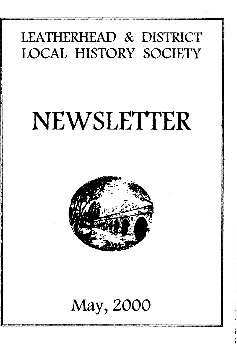# **LEATHERHEAD** *&* **DISTRICT LOCAL HISTORY SOCIETY**

# NEWSLETTER



# **May, 2000**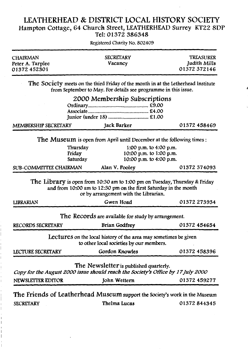#### **LEATHERHEAD & DISTRICT LOCAL HISTORY SOCIETY Hampton Cottage, 64 Church Street, LEATHERHEAD Surrey KT22 8DP Tel: 01372 386348**

**CHAIRMAN SECRETARY TREASURER** Peter A. Tarplee *Peter A. Tarplee Vacancy**Judith Mills O1372 372146* 01372 452301 **The Society meets on the third Friday of the month in at the Letherhead Institute from September to May. For details see programme in this issue. 2000 Membership Subscriptions Ordinary...........................................£9.00 Associate...........................................£4.00 junior (under 18)............................ £1.00 MEMBERSHIP SECRETARY\_\_\_\_\_\_\_\_\_\_\_ Jack Barker\_\_\_\_\_\_\_\_\_\_\_\_\_\_\_\_\_01372 458469 The Museum is open from April until December at the following times: Thursday 1:00 p.m. to 4:00 p.m. Friday** 10:00 p.m. to 1:00 p.m.<br> **Saturday** 10:00 p.m. to 4:00 p.m. **Saturday 10:00 p.m. to 4:00 p.m. SUB-COMMITTEE CHAIRMAN\_\_\_\_\_\_ Alan V. Pooley\_\_\_\_\_\_\_\_\_\_\_\_\_\_\_ 01372 374093 The Library is open from 10:30 am to 1:00 pm on Tuesday, Thursday & Friday and from 10:00 am to 12:30 pm on the first Saturday in the month or by arrangement with the librarian. LIBRARIAN\_\_\_\_\_\_\_\_\_\_\_\_\_\_\_\_\_\_\_\_\_\_\_ Gwen Hoad\_\_\_\_\_\_\_\_\_\_\_\_\_\_\_\_\_01372 273934 The Records are available for study by arrangement. RECORDS SECRETARY Brian Godfrey 01372 454654 Lectures on the local history of the area may sometimes be given to other local societies by our members. LECTURE SECRETARY Gordon Knowles 01372 458396 The Newsletter is published quarterly.** *Copy for the August 2000 issue should reach the Society's Office by 17July2000* **NEWSLETTER EDITOR** John Wettern 01372 459277 **The Friends of Leatherhead Museum support the Society's work in the Museum SECRETARY Thelma Lucas 01372 844345**

Registered Charity No. 802409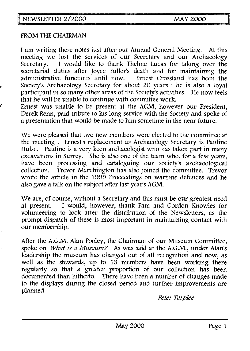#### **FROM THE CHAIRMAN**

**I am writing these notes just after our Annual General Meeting. At this meeting we lost the services of our Secretary and our Archaeology Secretaiy. I would like to thank Thelma Lucas for taking over the secretarial duties after Joyce Fuller's death and for maintaining the administrative functions until now. Ernest Crossland has been the Society's Archaeology Secretary for about 20 years : he is also a loyal participant in so many other areas of the Society's activities. He now feels that he will be unable to continue with committee work.**

**Ernest was unable to be present at the AGM, however our President, Derek Renn, paid tribute to his long service with the Society and spoke of a presentation that would be made to him sometime in the near future.**

**We were pleased that two new members were elected to the committee at the meeting . Ernest's replacement as Archaeology Secretary is Pauline Hulse. Pauline is a very keen archaeologist who has taken part in many excavations in Surrey. She is also one of the team who, for a few years, have been processing and cataloguing our society's archaeological collection. Trevor Marchington has also joined the committee. Trevor wrote the article in the 1999 Proceedings on wartime defences and he also gave a talk on the subject after last year's AGM.**

**We are, of course, without a Secretary and this must be our greatest need at present. I would, however, thank Pam and Gordon Knowles for volunteering to look after the distribution of the Newsletters, as the prompt dispatch of these is most important in maintaining contact with our membership.**

**After the A.G.M. Alan Pooley, the Chairman of our Museum Committee,** spoke on *What is a Museum?* As was said at the A.G.M., under Alan's **leadership the museum has changed out of all recognition and now, as well as the stewards, up to 13 members have been working there regularly so that a greater proportion of our collection has been documented than hitherto. There have been a number of changes made to the displays during the closed period and further improvements are planned**

*Peter Tarplee*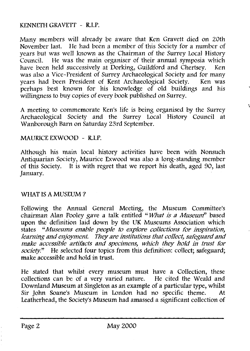#### KENNETH GRAVETT - R.I.P.

**Many members will already be aware that Ken Gravett died on 20th November last. He had been a member of this Society for a number of years but was well known as the Chairman of the Surrey Local History Council. He was the main organiser of their annual symposia which have been held successively at Dorking, Guildford and Chertsey. Ken** was also a Vice-President of Surrey Archaeological Society and for many<br>vears had been President of Kent Archaeological Society Ken was vears had been President of Kent Archaeological Society. **perhaps best known for his knowledge of old buildings and his willingness to buy copies of every book published on Surrey.**

**A meeting to commemorate Ken's life is being organised by the Surrey Archaeological Society and the Surrey Local History Council at Wanborough Barn on Saturday 23rd September.**

#### **MAURICE EXWOOD - R.I.P.**

**Although his main local history activities have been with Nonsuch Antiquarian Society, Maurice Exwood was also a long-standing member of this Society. It is with regret that we report his death, aged 90, last January.**

#### **WHAT IS A MUSEUM ?**

**Following the Annual General Meeting, the Museum Committee's chairman Alan Pooley gave** *a* **talk entitled "** *W hat is a Museump* **based upon the definition laid down by the UK Museums Association which** states *"Museums enable people to explore collections for inspiration*, *learning and enjoyment. They are institutions that collect, safeguard and make accessible artifacts and specimens, which they hold in trust for society*." He selected four topics from this definition: collect; safeguard; **make accessible and hold in trust.**

**He stated that whilst every museum must have a Collection, these collections can be of a very varied nature. He cited the Weald and Downland Museum at Singleton as an example of a particular type, whilst Sir John Soane's Museum in London had no specific theme. At Leatherhead, the Society's Museum had amassed a significant collection of**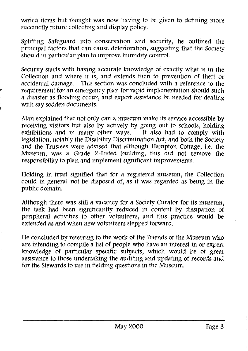**varied items but thought was now having to be given to defining more succinctly future collecting and display policy.**

**Splitting Safeguard into conservation and security, he outlined the principal factors that can cause deterioration, suggesting that the Society should in particular plan to improve humidity control.**

**Security starts with having accurate knowledge of exactly what is in the Collection and where it is, and extends then to prevention of theft or accidental damage. This section was concluded with a reference to the requirement for an emergency plan for rapid implementation should such a disaster as flooding occur, and expert assistance be needed for dealing with say sodden documents.**

**Alan explained that not only can a museum make its service accessible by receiving visitors but also by actively by going out to schools, holding** exhibitions and in many other ways. **legislation, notably the Disability Discrimination Act, and both the Society and the Trustees were advised that although Hampton Cottage, i.e. the Museum, was a Grade 2-Listed building, this did not remove the responsibility to plan and implement significant improvements.**

**Holding in trust signified that for a registered museum, the Collection could in general not be disposed of, as it was regarded as being in the public domain.**

**Although there was still a vacancy for a Society Curator for its museum, the task had been significantly reduced in content by dissipation of peripheral activities to other volunteers, and this practice would be extended as and when new volunteers stepped forward.**

**He concluded by referring to the work of the Friends of the Museum who are intending to compile a list of people who have an interest in or expert knowledge of particular specific subjects, which would be of great assistance to those undertaking the auditing and updating of records and for the Stewards to use in fielding questions in the Museum.**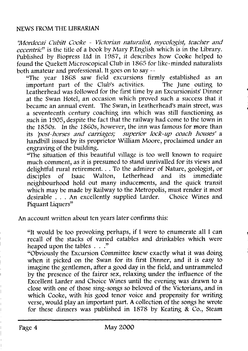#### **NEWS FROM THE LIBRARIAN**

*"Mordccai C ubitt Cooke - Victorian naturalist, m ycologist, teacher and eccentrid***' is the title of a book by Mary P.English which is in the Library. Published by Biopress Ltd in 1987, it describes how Cooke helped to found the Quekett Microscopical Club in 1865 for like-minded naturalists both amateur and professional. It goes on to say —**

**"The year 1868 saw field excursions firmly established as an important part of the Club's activities. The June outing to Leatherhead was followed for the first time by an Excursionists' Dinner at the Swan Hotel, an occasion which proved such a success that it became an annual event. The Swan, in Leatherhead's main street, was a seventeenth century coaching inn which was still functioning as such in 1905, despite the fact that the railway had come to the town in the** *1850s. In the 1860s,* **however, the inn was famous for more than its** *'post-horses and carriages; superior lock-up coach houses'* **a handbill issued by its proprietor William Moore, proclaimed under an engraving of the building.**

**"The situation of this beautiful village is too well known to require much comment, as it is presumed to stand unrivalled for its views and delightful rural retirement. . . To the admirer of Nature, geologist, or disciples of Isaac Walton, Letherhead and its immediate neighbourhood hold out many inducements, and the quick transit which may be made by Railway to the Metropolis, must render it most desirable . . . An excellently supplied Larder. Choice Wines and Piquant Liquers"**

**An account written about ten years later confirms this:**

**"It would be too provoking perhaps, if I were to enumerate all I can recall of the stacks of varied eatables and drinkables which were heaped upon the tables ..."**

**"Obviously the Excursion Committee knew exactly what it was doing when it picked on the Swan for its first Dinner, and it is easy to imagine the gentlemen, after a good day in the field, and untrammeled by the presence of the fairer sex, relaxing under the influence of the Excellent Larder and Choice Wines until the evening was drawn to a close with one of those sing-songs so beloved of the Victorians, and in which Cooke, with his good tenor voice and propensity for writing verse, would play an important part. A collection of the songs he wrote for these dinners was published in 1878 by Keating & Co., Steam**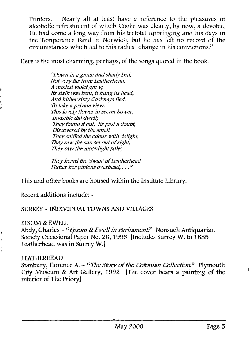**Printers. Nearly all at least have a reference to the pleasures of alcoholic refreshment of which Cooke was clearly, by now, a devotee. He had come a long way from his teetotal upbringing and his days in the Temperance Band in Norwich, but he has left no record of the circumstances which led to this radical change in his convictions."**

**Here is the most charming, perhaps, of the songs quoted in the book.**

*"Down in a green and shady bed, Not very far from Leatherhead, A modest violet grew; Its stalk was bent, it hung its head, And hither sixty Cockneys lied, To take a private view. This lovely flower in secret bower, Invisible did dwell; They found it out, His past a doubt, Discovered by the smell. They sniffed the odour with delight, They saw the sun set out of sight, They saw the moonlight pale;*

*They heard the 'Swan'of Leatherhead Flutter her pinions overhead,. . . "*

**This and other books are housed within the Institute Library.**

**Recent additions include: -**

# **SURREY - INDIVIDUAL TOWNS AND VILLAGES**

#### **EPSOM & EWELL**

Abdy, Charles - "*Epsom & Ewell in Parliament*." Nonsuch Antiquarian **Society Occasional Paper No. 26,1995 [Includes Surrey W. to 1885 Leatherhead was in Surrey W.]**

# **LEATHERHEAD**

Ì

Stanbury, Florence A.  $-$  "*The Story of the Cotonian Collection*." Plymouth **City Museum & Art Gallery, 1992 [The cover bears a painting of the interior of The Priory]**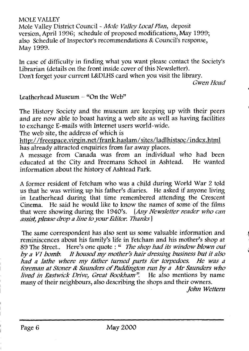**MOLE VALLEY**

**Mole Valley District Council ~** *M ole Valley Local Plan,* **deposit version, April 1996; schedule of proposed modifications, May 1999; also Schedule of Inspector's recommendations & Council's response, May 1999.**

**In case of difficulty in finding what you want please contact the Society's Librarian (details on the front inside cover of this Newsletter). Don't forget your current L&DLHS card when you visit the library.**

*Gwen Hoad*

#### **Leatherhead Museum - "On the Web"**

**The History Society and the museum are keeping up with their peers and are now able to boast having a web site as well as having facilities to exchange E-mails with Internet users world-wide.**

**The web site, the address of which is**

**<http://freespace.virgin.net/frank.haslam/sites/ladlhistsoc/index.html> has already attracted enquiries from far away places.**

**A message from Canada was from an individual who had been educated at the City and Freemans School in Ashtead. He wanted information about the history of Ashtead Park.**

**A former resident of Fetcham who was a child during World War 2 told us that he was writing up his father's diaries. He asked if anyone living in Leatherhead during that time remembered attending the Crescent Cinema. He said he would like to know the names of some of the films that were showing during the 1940's.** *{Any New sletter reader who can assist, please drop a line to your Editor. Thanks ]*

**The same correspondent has also sent us some valuable information and reminiscences about his family's life in Fetcham and his mother's shop at 89 The Street.. Here's one quote : "** *The shop had its window blown out* by a V1 bomb. It housed my mother's hair dressing business but it also had a lathe where my father turned parts for torpedoes. He was a foreman at Stoner & Saunders of Paddington run by a Mr Saunders who *lived in Eastwick Drive, Great Bookham*". He also mentions by name **many of their neighbours, also describing the shops and their owners.**

*John W ettem*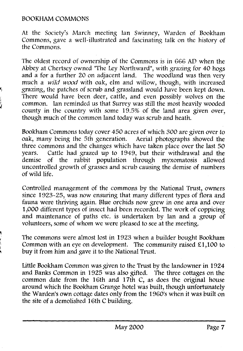#### **BOOKHAM COMMONS**

**At the Society's March meeting lan Swinney, Warden of Bookham Commons, gave a well-illustrated and fascinating talk on the history of the Commons.**

**The oldest record of ownership of the Commons is in 666 AD when the Abbey at Chertsey owned "The Ley Northward", with grazing for 40 hogs and a for a further 20 on adjacent land. The woodland was then very much a w ild** *wood* **with oak, elm and willow, though, with increased grazing, the patches of scrub and grassland would have been kept down. There would have been deer, cattle, and even possibly wolves on the common. Ian reminded us that Surrey was still the most heavily wooded county in the country with some 19.5% of the land area given over, though much of the common land today was scrub and heath.**

**Bookham Commons today cover 450 acres of which 300 are given over to oak, many being the 5th generation. Aerial photographs showed the three commons and the changes which have taken place over the last 50 years. Cattle had grazed up to 1949, but their withdrawal and the demise of the rabbit population through myxomatosis allowed uncontrolled growth of grasses and scrub causing the demise of numbers of wild life.**

**Controlled management of the commons by the National Trust, owners since 1923-25, was now ensuring that many different types of flora and fauna were thriving again. Blue orchids now grew in one area and over 1,000 different types of insect had been recorded. The work of coppicing and maintenance of paths etc. is undertaken by Ian and a group of volunteers, some of whom we were pleased to see at the meeting.**

**The commons were almost lost in 1923 when a builder bought Bookham Common with an eye on development. The community raised £1,100 to buy it from him and gave it to the National Trust.**

**Little Bookham Common was given to the Trust by the landowner in 1924 and Banks Common in 1925 was also gifted. The three cottages on the common date from the 16th and 17th C, as does the original house around which the Bookham Grange hotel was built, though unfortunately the Warden's own cottage dates only from the 1960's when it was built on the site of a demolished 16th C building.**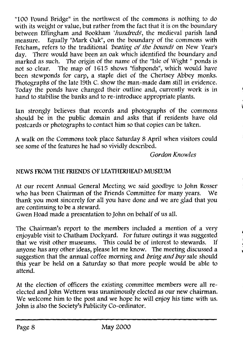**"100 Pound Bridge" in the northwest of the commons is nothing to do with its weight or value, but rather from the fact that it is on the boundary** between Effingham and Bookham '*hundreds*', the medieval parish land<br>measure. Equally "Mark Oak", on the boundary of the commons with Equally "Mark Oak", on the boundary of the commons with Fetcham, refers to the traditional *'beating of the bounds* on New Year's **day. There would have been an oak which identified the boundary and** marked as such. The origin of the name of the "Isle of Wight " ponds is<br>not so clear. The map of 1615 shows "fishponds", which would have The map of 1615 shows "fishponds", which would have **been stewponds for carp, a staple diet of the Chertsey Abbey monks. Photographs of the late 19th C. show the man-made dam still in evidence. Today the ponds have changed their outline and, currently work is in hand to stabilise the banks and to re-introduce appropriate plants.**

**Ian strongly believes that records and photographs of the commons should be in the public domain and asks that if residents have old postcards or photographs to contact him so that copies can be taken.**

**A walk on the Commons took place Saturday 8 April when visitors could see some of the features he had so vividly described.**

## *Gordon Knowles*

# **NEWS FROM THE FRIENDS OF LEATHERHEAD MUSEUM**

**At our recent Annual General Meeting we said goodbye to John Rosser who has been Chairman of the Friends Committee for many years. We thank you most sincerely for all you have done and we are glad that you are continuing to be a steward.**

**Gwen Hoad made a presentation to John on behalf of us all.**

**The Chairman's report to the members included a mention of a very enjoyable visit to Chatham Dockyard. For future outings it was suggested that we visit other museums. This could be of interest to stewards. If anyone has any other ideas, please let me know. The meeting discussed a suggestion that the annual coffee morning and** *bring and buy sale* **should this year be held on a Saturday so that more people would be able to attend.**

**At the election of officers the existing committee members were all reelected and John Wettem was unanimously elected as our new chairman. We welcome him to the post and we hope he will enjoy his time with us. John is also the Society's Publicity Co-ordinator.**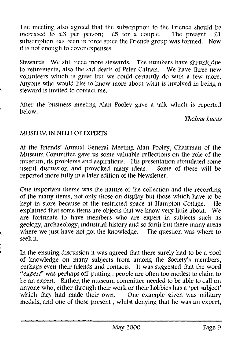The meeting also agreed that the subscription to the Friends should be increased to £3 per person; £5 for a couple. The present £1 **increased to £3 per person; £5 for a couple. The present £1 subscription has been in force since the Friends group was formed. Now it is not enough to cover expenses.**

**Stewards We still need more stewards. The numbers have shrunk\_due to retirements, also the sad death of Peter Calnan. We have three new volunteers which is great but we could certainly do with a few more. Anyone who would like to know more about what is involved in being a steward is invited to contact me.**

**After the business meeting Alan Pooley gave a talk which is reported below.**

*Thelma Lucas*

# **MUSEUM IN NEED OF EXPERTS**

**At the Friends' Annual General Meeting Alan Pooley, Chairman of the Museum Committee gave us some valuable reflections on the role of the museum, its problems and aspirations. His presentation stimulated some useful discussion and provoked many ideas. Some of these will be reported more fully in a later edition of the Newsletter.**

**One important theme was the nature of the collection and the recording of the many items, not only those on display but those which have to be kept in store because of the restricted space at Hampton Cottage. He explained that some items are objects that we know very little about. We are fortunate to have members who are expert in subjects such as** geology, archaeology, industrial history and so forth but there many areas **where we just have not got the knowledge. The question was where to seek it.**

**In the ensuing discussion it was agreed that there surely had to be a pool of knowledge on many subjects from among the Society's members, perhaps even their friends and contacts. It was suggested that the word "***expert***' was perhaps off-putting : people are often too modest to claim to be an expert. Rather, the museum committee needed to be able to call on anyone who, either through their work or their hobbies has a 'pet subject' which they had made their own. One example given was military medals, and one of those present, whilst denying that he was an expert,**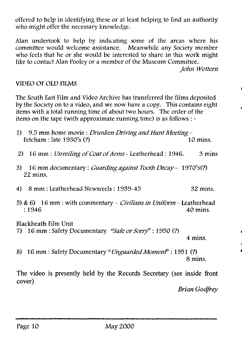**offered to help in identifying these or at least helping to find an authority who might offer the necessary knowledge.**

**Alan undertook to help by indicating some of the areas where his committee would welcome assistance. Meanwhile any Society member who feels that he or she would be interested to share in this work might like to contact Alan Pooley or a member of the Museum Committee.**

*<i>John Wettern* 

## **VIDEO OF OLD FILMS**

**The South East Film and Video Archive has transferred the films deposited by the Society on to a video, and we now have a copy. This contains eight items with a total running time of about two hours. The order of the items on the tape (with approximate running time) is as follows : ~**

| 1) 9.5 mm home movie: <i>Drunken Driving and Hunt Meeting</i> – |            |
|-----------------------------------------------------------------|------------|
| Fetcham : late $1930$ 's (?)                                    | $10$ mins. |

- 2) 16 mm : *Unveiling of Coat of Arms -* Leatherhead : 1946. 3 mins
- **3) 16 mm documentary :** *Guarding against Tooth Decay* **1970's(?) 22 mins.**
- **4) 8 mm : Leatherhead Newsreels : 1939-45 32 mins.**
- **5) & 6) 16 mm : with commentary** *Civilians in Uniform -* **Leatherhead : 1946 40 mins.**

#### **Blackheath Film Unit**

**7) 16 mm : Safety Documentary** *"Safe or Sorry''* **: 1950 (?)**

**4 mins.**

8) 16 mm : Safety Documentary *"Unguarded Moment*" : 1951 (?) **8 mins.**

**The video is presently held by the Records Secretary (see inside front cover)**

*Brian Godfrey*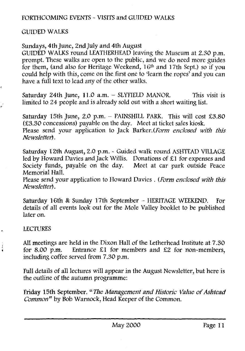# **FORTHCOMING EVENTS - VISITS and GUIDED WALKS**

#### **GUIDED WALKS**

### **Sundays, 4th June, 2nd July and 4th August**

**GUIDED WALKS round LEATHERHEAD leaving the Museum at 2.30 p.m. prompt. These walks are open to the public, and we do need more guides for them, (and also for Heritage Weekend, 16th and 17th Sept.) so if you could help with this, come on the first one to 'learn the ropes' and you can have a full text to lead any of the other walks.**

**Saturday 24th June, 11.0 a.m. - SLYFIELD MANOR. This visit is limited to 24 people and is already sold out with a short waiting list.**

**Saturday 15th June, 2.0 p.m. - PAINSHILL PARK. This will cost £3.80 (£3.30 concessions) payable on the day. Meet at ticket sales kiosk. Please send your application to Jack Barker.** *{Form enclosed with this Newsletter).*

**Saturday 12th August, 2.0 p.m. - Guided walk round ASHTEAD VILLAGE led by Howard Davies and Jack Willis. Donations of £1 for expenses and** Society funds, payable on the day. **Memorial Hall.**

**Please send your application to Howard Davies . (***Form enclosed with this Newsletter).*

**Saturday 16th & Sunday 17th September - HERITAGE WEEKEND. For details of all events look out for the Mole Valley booklet to be published later on.**

#### **LECTURES**

J

**All meetings are held in the Dixon Hall of the Letherhead Institute at 7.30 for 8.00 p.m. Entrance £1 for members and £2 for non-members, including coffee served from 7.30 p.m.**

**Full details of all lectures will appear in the August Newsletter, but here is the outline of the autumn programme:**

Friday 15th September. *"The Management and Historic Value of Ashtead Common "* **by Bob Warnock, Head Keeper of the Common.**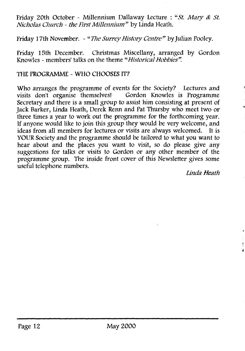Friday 20th October - Millennium Dallaway Lecture : "St. Mary & St. *Nicholas Church - the First M illennium "* **by Linda Heath.**

Friday 17th November. - "*The Surrey History Centre"* by Julian Pooley.

**Friday 15th December. Christmas Miscellany, arranged by Gordon Knowles - members' talks on the theme** *"Historical Hobbies".*

# **THE PROGRAMME - WHO CHOOSES IT?**

**Who arranges the programme of events for the Society? Lectures and visits don't organise themselves! Gordon Knowles is Programme Secretary and there is a small group to assist him consisting at present of Jack Barker, Linda Heath, Derek Renn and Pat Thursby who meet two or three times a year to work out the programme for the forthcoming year. If anyone would like to join this group they would be very welcome, and ideas from all members for lectures or visits are always welcomed. It is YOUR Society and the programme should be tailored to what you want to hear about and the places you want to visit, so do please give any suggestions for talks or visits to Gordon or any other member of the programme group. The inside front cover of this Newsletter gives some useful telephone numbers.**

*Linda Heath*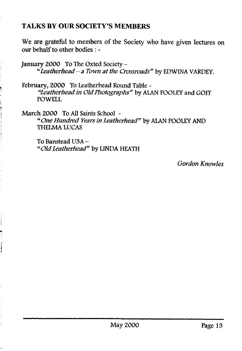# TALKS BY OUR SOCIETY'S MEMBERS

We are grateful to members of the Society who have given lectures on our behalf to other bodies : -

**January 2000 To The Oxted Society -** *"■Leatherhead-a Town at the Crossroads"* **by EDWINA VARDEY.**

**February, 2000 To Leatherhead Round Table -** *"Leatherhead in Old Photographs"* **by ALAN POOLEY and GOFF POWELL**

**March 2000 To All Saints School ~** "One Hundred Years in Leatherhead" by ALAN POOLEY AND **THELMA LUCAS**

**To Banstead USA - "** *O ld Leatherhead"* **by LINDA HEATH**

*Gordon Knowles*